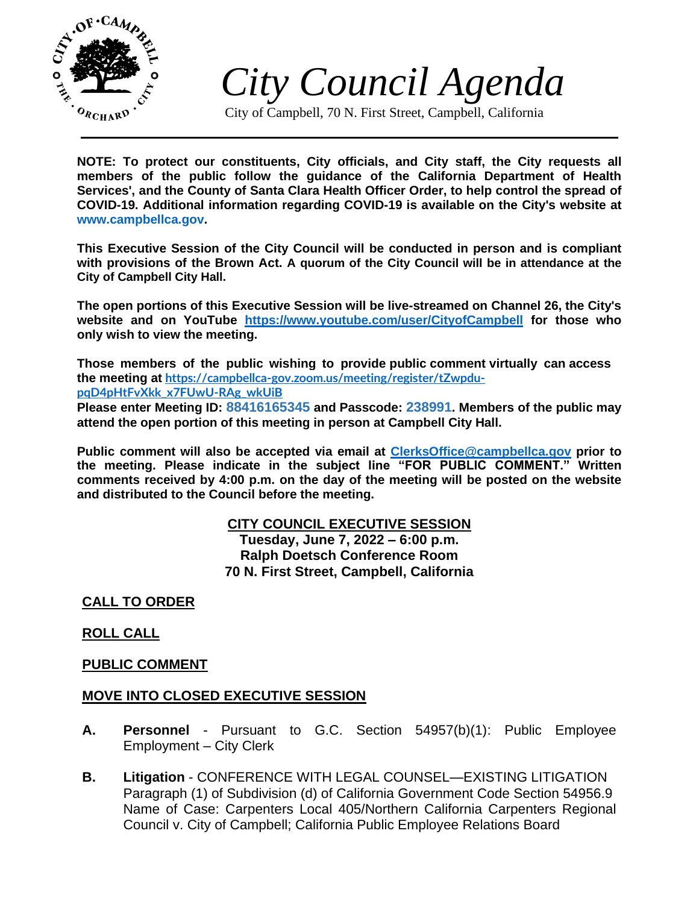

*City Council Agenda*

City of Campbell, 70 N. First Street, Campbell, California

**NOTE: To protect our constituents, City officials, and City staff, the City requests all members of the public follow the guidance of the California Department of Health Services', and the County of Santa Clara Health Officer Order, to help control the spread of COVID-19. Additional information regarding COVID-19 is available on the City's website at [www.campbellca.gov.](http://www.campbellca.gov/)**

**This Executive Session of the City Council will be conducted in person and is compliant with provisions of the Brown Act. A quorum of the City Council will be in attendance at the City of Campbell City Hall.**

**The open portions of this Executive Session will be live-streamed on Channel 26, the City's website and on YouTube <https://www.youtube.com/user/CityofCampbell> for those who only wish to view the meeting.**

**Those members of the public wishing to provide public comment virtually can access the meeting at [https://campbellca-gov.zoom.us/meeting/register/tZwpdu](https://campbellca-gov.zoom.us/meeting/register/tZwpdu-pqD4pHtFvXkk_x7FUwU-RAg_wkUiB)[pqD4pHtFvXkk\\_x7FUwU-RAg\\_wkUiB](https://campbellca-gov.zoom.us/meeting/register/tZwpdu-pqD4pHtFvXkk_x7FUwU-RAg_wkUiB)**

**Please enter Meeting ID: 88416165345 and Passcode: 238991. Members of the public may attend the open portion of this meeting in person at Campbell City Hall.**

**Public comment will also be accepted via email at<ClerksOffice@campbellca.gov> prior to the meeting. Please indicate in the subject line "FOR PUBLIC COMMENT." Written comments received by 4:00 p.m. on the day of the meeting will be posted on the website and distributed to the Council before the meeting.**

# **CITY COUNCIL EXECUTIVE SESSION**

**Tuesday, June 7, 2022 – 6:00 p.m. Ralph Doetsch Conference Room 70 N. First Street, Campbell, California**

**CALL TO ORDER**

# **ROLL CALL**

# **PUBLIC COMMENT**

# **MOVE INTO CLOSED EXECUTIVE SESSION**

- **A. Personnel** Pursuant to G.C. Section 54957(b)(1): Public Employee Employment – City Clerk
- **B. Litigation** CONFERENCE WITH LEGAL COUNSEL—EXISTING LITIGATION Paragraph (1) of Subdivision (d) of California Government Code Section 54956.9 Name of Case: Carpenters Local 405/Northern California Carpenters Regional Council v. City of Campbell; California Public Employee Relations Board